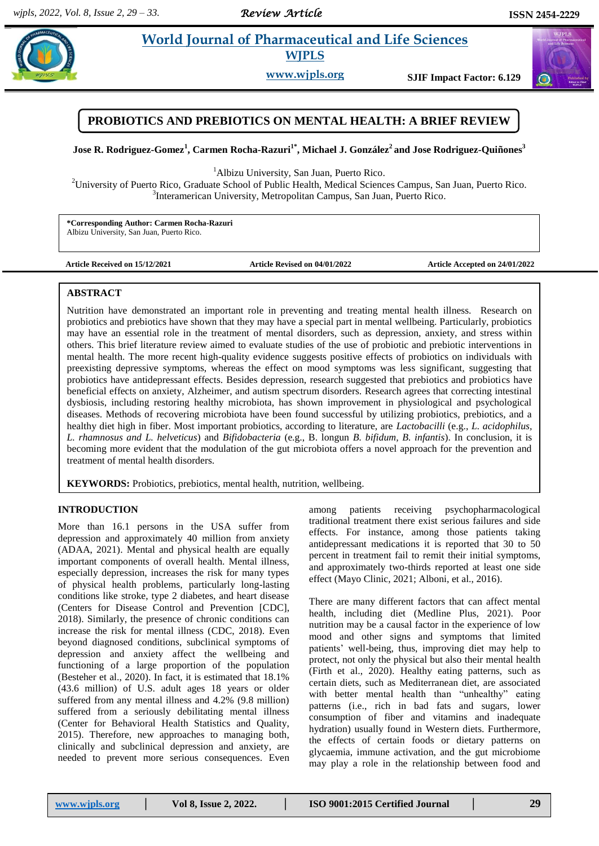# **Paramenter** *E* **Morld Journal of Pharmaceutical and Life Sciences <b>Constant E E** 2014 **WJPLS**

**www.wjpls.org SJIF Impact Factor: 6.129**

## **PROBIOTICS AND PREBIOTICS ON MENTAL HEALTH: A BRIEF REVIEW**

**Jose R. Rodriguez-Gomez 1 , Carmen Rocha-Razuri1\* , Michael J. González<sup>2</sup>and Jose Rodriguez-Quiñones<sup>3</sup>**

<sup>1</sup>Albizu University, San Juan, Puerto Rico.

<sup>2</sup>University of Puerto Rico, Graduate School of Public Health, Medical Sciences Campus, San Juan, Puerto Rico. <sup>3</sup>Interamerican University, Metropolitan Campus, San Juan, Puerto Rico.

**\*Corresponding Author: Carmen Rocha-Razuri** Albizu University, San Juan, Puerto Rico.

**Article Received on 15/12/2021 Article Revised on 04/01/2022 Article Accepted on 24/01/2022**

### **ABSTRACT**

Nutrition have demonstrated an important role in preventing and treating mental health illness. Research on probiotics and prebiotics have shown that they may have a special part in mental wellbeing. Particularly, probiotics may have an essential role in the treatment of mental disorders, such as depression, anxiety, and stress within others. This brief literature review aimed to evaluate studies of the use of probiotic and prebiotic interventions in mental health. The more recent high-quality evidence suggests positive effects of probiotics on individuals with preexisting depressive symptoms, whereas the effect on mood symptoms was less significant, suggesting that probiotics have antidepressant effects. Besides depression, research suggested that prebiotics and probiotics have beneficial effects on anxiety, Alzheimer, and autism spectrum disorders. Research agrees that correcting intestinal dysbiosis, including restoring healthy microbiota, has shown improvement in physiological and psychological diseases. Methods of recovering microbiota have been found successful by utilizing probiotics, prebiotics, and a healthy diet high in fiber. Most important probiotics, according to literature, are *Lactobacilli* (e.g., *L. acidophilus, L. rhamnosus and L. helveticus*) and *Bifidobacteria* (e.g., B. longun *B. bifidum, B. infantis*). In conclusion, it is becoming more evident that the modulation of the gut microbiota offers a novel approach for the prevention and treatment of mental health disorders.

**KEYWORDS:** Probiotics, prebiotics, mental health, nutrition, wellbeing.

## **INTRODUCTION**

More than 16.1 persons in the USA suffer from depression and approximately 40 million from anxiety (ADAA, 2021). Mental and physical health are equally important components of overall health. Mental illness, especially depression, increases the risk for many types of physical health problems, particularly long-lasting conditions like stroke, type 2 diabetes, and heart disease (Centers for Disease Control and Prevention [CDC], 2018). Similarly, the presence of chronic conditions can increase the risk for mental illness (CDC, 2018). Even beyond diagnosed conditions, subclinical symptoms of depression and anxiety affect the wellbeing and functioning of a large proportion of the population (Besteher et al., 2020). In fact, it is estimated that 18.1% (43.6 million) of U.S. adult ages 18 years or older suffered from any mental illness and 4.2% (9.8 million) suffered from a seriously debilitating mental illness (Center for Behavioral Health Statistics and Quality, 2015). Therefore, new approaches to managing both, clinically and subclinical depression and anxiety, are needed to prevent more serious consequences. Even

among patients receiving psychopharmacological traditional treatment there exist serious failures and side effects. For instance, among those patients taking antidepressant medications it is reported that 30 to 50 percent in treatment fail to remit their initial symptoms, and approximately two-thirds reported at least one side effect (Mayo Clinic, 2021; Alboni, et al., 2016).

There are many different factors that can affect mental health, including diet (Medline Plus, 2021). Poor nutrition may be a causal factor in the experience of low mood and other signs and symptoms that limited patients' well-being, thus, improving diet may help to protect, not only the physical but also their mental health (Firth et al., 2020). Healthy eating patterns, such as certain diets, such as Mediterranean diet, are associated with better mental health than "unhealthy" eating patterns (i.e., rich in bad fats and sugars, lower consumption of fiber and vitamins and inadequate hydration) usually found in Western diets. Furthermore, the effects of certain foods or dietary patterns on glycaemia, immune activation, and the gut microbiome may play a role in the relationship between food and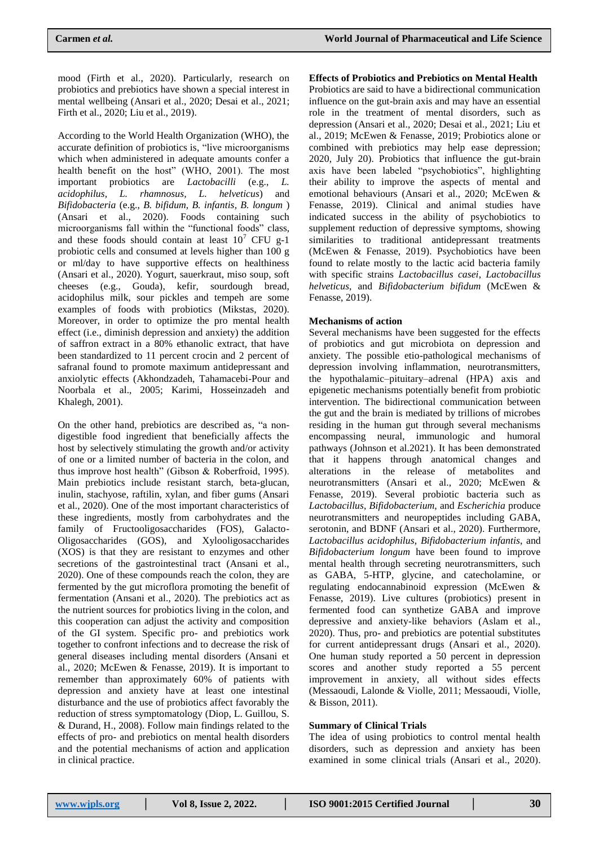mood (Firth et al., 2020). Particularly, research on probiotics and prebiotics have shown a special interest in mental wellbeing (Ansari et al., 2020; Desai et al., 2021; Firth et al., 2020; Liu et al., 2019).

According to the World Health Organization (WHO), the accurate definition of probiotics is, "live microorganisms which when administered in adequate amounts confer a health benefit on the host" (WHO, 2001). The most important probiotics are *Lactobacilli* (e.g., *L. acidophilus, L. rhamnosus, L. helveticus*) and *Bifidobacteria* (e.g., *B. bifidum, B. infantis, B. longum* ) (Ansari et al., 2020). Foods containing such microorganisms fall within the "functional foods" class, and these foods should contain at least  $10<sup>7</sup>$  CFU g-1 probiotic cells and consumed at levels higher than 100 g or ml/day to have supportive effects on healthiness (Ansari et al., 2020). Yogurt, sauerkraut, miso soup, soft cheeses (e.g., Gouda), kefir, sourdough bread, acidophilus milk, sour pickles and tempeh are some examples of foods with probiotics (Mikstas, 2020). Moreover, in order to optimize the pro mental health effect (i.e., diminish depression and anxiety) the addition of saffron extract in a 80% ethanolic extract, that have been standardized to 11 percent crocin and 2 percent of safranal found to promote maximum antidepressant and anxiolytic effects (Akhondzadeh, Tahamacebi-Pour and Noorbala et al., 2005; Karimi, Hosseinzadeh and Khalegh, 2001).

On the other hand, prebiotics are described as, "a nondigestible food ingredient that beneficially affects the host by selectively stimulating the growth and/or activity of one or a limited number of bacteria in the colon, and thus improve host health" (Gibson & Roberfroid, 1995). Main prebiotics include resistant starch, beta-glucan, inulin, stachyose, raftilin, xylan, and fiber gums (Ansari et al., 2020). One of the most important characteristics of these ingredients, mostly from carbohydrates and the family of Fructooligosaccharides (FOS), Galacto-Oligosaccharides (GOS), and Xylooligosaccharides (XOS) is that they are resistant to enzymes and other secretions of the gastrointestinal tract (Ansani et al., 2020). One of these compounds reach the colon, they are fermented by the gut microflora promoting the benefit of fermentation (Ansani et al., 2020). The prebiotics act as the nutrient sources for probiotics living in the colon, and this cooperation can adjust the activity and composition of the GI system. Specific pro- and prebiotics work together to confront infections and to decrease the risk of general diseases including mental disorders (Ansani et al., 2020; McEwen & Fenasse, 2019). It is important to remember than approximately 60% of patients with depression and anxiety have at least one intestinal disturbance and the use of probiotics affect favorably the reduction of stress symptomatology (Diop, L. Guillou, S. & Durand, H., 2008). Follow main findings related to the effects of pro- and prebiotics on mental health disorders and the potential mechanisms of action and application in clinical practice.

#### **Effects of Probiotics and Prebiotics on Mental Health**

Probiotics are said to have a bidirectional communication influence on the gut-brain axis and may have an essential role in the treatment of mental disorders, such as depression (Ansari et al., 2020; Desai et al., 2021; Liu et al., 2019; McEwen & Fenasse, 2019; Probiotics alone or combined with prebiotics may help ease depression; 2020, July 20). Probiotics that influence the gut-brain axis have been labeled "psychobiotics", highlighting their ability to improve the aspects of mental and emotional behaviours (Ansari et al., 2020; McEwen & Fenasse, 2019). Clinical and animal studies have indicated success in the ability of psychobiotics to supplement reduction of depressive symptoms, showing similarities to traditional antidepressant treatments (McEwen & Fenasse, 2019). Psychobiotics have been found to relate mostly to the lactic acid bacteria family with specific strains *Lactobacillus casei*, *Lactobacillus helveticus*, and *Bifidobacterium bifidum* (McEwen & Fenasse, 2019).

#### **Mechanisms of action**

Several mechanisms have been suggested for the effects of probiotics and gut microbiota on depression and anxiety. The possible etio-pathological mechanisms of depression involving inflammation, neurotransmitters, the hypothalamic–pituitary–adrenal (HPA) axis and epigenetic mechanisms potentially benefit from probiotic intervention. The bidirectional communication between the gut and the brain is mediated by trillions of microbes residing in the human gut through several mechanisms encompassing neural, immunologic and humoral pathways (Johnson et al.2021). It has been demonstrated that it happens through anatomical changes and alterations in the release of metabolites and neurotransmitters (Ansari et al., 2020; McEwen & Fenasse, 2019). Several probiotic bacteria such as *Lactobacillus*, *Bifidobacterium*, and *Escherichia* produce neurotransmitters and neuropeptides including GABA, serotonin, and BDNF (Ansari et al., 2020). Furthermore, *Lactobacillus acidophilus*, *Bifidobacterium infantis*, and *Bifidobacterium longum* have been found to improve mental health through secreting neurotransmitters, such as GABA, 5-HTP, glycine, and catecholamine, or regulating endocannabinoid expression (McEwen & Fenasse, 2019). Live cultures (probiotics) present in fermented food can synthetize GABA and improve depressive and anxiety-like behaviors (Aslam et al., 2020). Thus, pro- and prebiotics are potential substitutes for current antidepressant drugs (Ansari et al., 2020). One human study reported a 50 percent in depression scores and another study reported a 55 percent improvement in anxiety, all without sides effects (Messaoudi, Lalonde & Violle, 2011; Messaoudi, Violle, & Bisson, 2011).

#### **Summary of Clinical Trials**

The idea of using probiotics to control mental health disorders, such as depression and anxiety has been examined in some clinical trials (Ansari et al., 2020).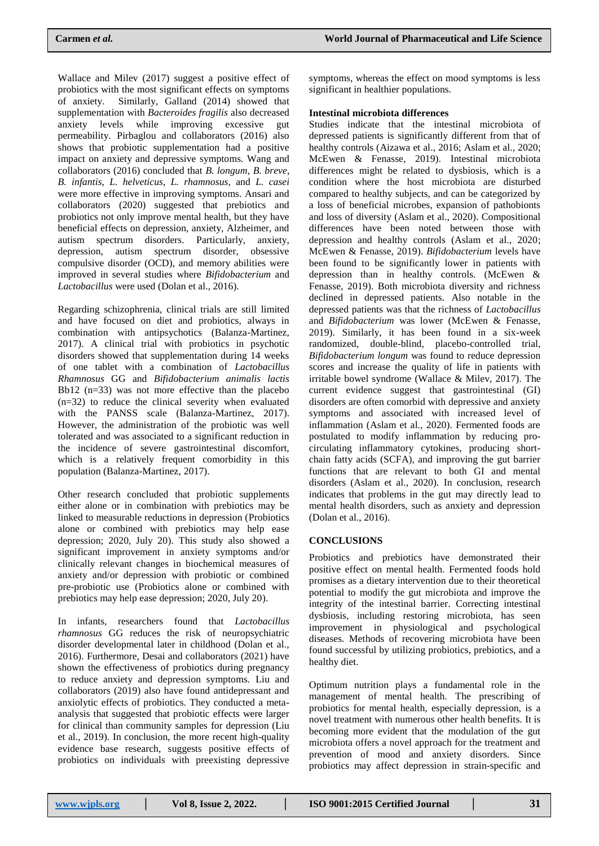Wallace and Milev (2017) suggest a positive effect of probiotics with the most significant effects on symptoms of anxiety. Similarly, Galland (2014) showed that supplementation with *Bacteroides fragilis* also decreased anxiety levels while improving excessive gut permeability. Pirbaglou and collaborators (2016) also shows that probiotic supplementation had a positive impact on anxiety and depressive symptoms. Wang and collaborators (2016) concluded that *B. longum*, *B. breve*, *B. infantis*, *L. helveticus*, *L. rhamnosus*, and *L. casei* were more effective in improving symptoms. Ansari and collaborators (2020) suggested that prebiotics and probiotics not only improve mental health, but they have beneficial effects on depression, anxiety, Alzheimer, and autism spectrum disorders. Particularly, anxiety, depression, autism spectrum disorder, obsessive compulsive disorder (OCD), and memory abilities were improved in several studies where *Bifidobacterium* and *Lactobacillus* were used (Dolan et al., 2016).

Regarding schizophrenia, clinical trials are still limited and have focused on diet and probiotics, always in combination with antipsychotics (Balanza-Martinez, 2017). A clinical trial with probiotics in psychotic disorders showed that supplementation during 14 weeks of one tablet with a combination of *Lactobacillus Rhamnosus* GG and *Bifidobacterium animalis lactis* Bb12 (n=33) was not more effective than the placebo (n=32) to reduce the clinical severity when evaluated with the PANSS scale (Balanza-Martinez, 2017). However, the administration of the probiotic was well tolerated and was associated to a significant reduction in the incidence of severe gastrointestinal discomfort, which is a relatively frequent comorbidity in this population (Balanza-Martinez, 2017).

Other research concluded that probiotic supplements either alone or in combination with prebiotics may be linked to measurable reductions in depression (Probiotics alone or combined with prebiotics may help ease depression; 2020, July 20). This study also showed a significant improvement in anxiety symptoms and/or clinically relevant changes in biochemical measures of anxiety and/or depression with probiotic or combined pre-probiotic use (Probiotics alone or combined with prebiotics may help ease depression; 2020, July 20).

In infants, researchers found that *Lactobacillus rhamnosus* GG reduces the risk of neuropsychiatric disorder developmental later in childhood (Dolan et al., 2016). Furthermore, Desai and collaborators (2021) have shown the effectiveness of probiotics during pregnancy to reduce anxiety and depression symptoms. Liu and collaborators (2019) also have found antidepressant and anxiolytic effects of probiotics. They conducted a metaanalysis that suggested that probiotic effects were larger for clinical than community samples for depression (Liu et al., 2019). In conclusion, the more recent high-quality evidence base research, suggests positive effects of probiotics on individuals with preexisting depressive symptoms, whereas the effect on mood symptoms is less significant in healthier populations.

## **Intestinal microbiota differences**

Studies indicate that the intestinal microbiota of depressed patients is significantly different from that of healthy controls (Aizawa et al., 2016; Aslam et al., 2020; McEwen & Fenasse, 2019). Intestinal microbiota differences might be related to dysbiosis, which is a condition where the host microbiota are disturbed compared to healthy subjects, and can be categorized by a loss of beneficial microbes, expansion of pathobionts and loss of diversity (Aslam et al., 2020). Compositional differences have been noted between those with depression and healthy controls (Aslam et al., 2020; McEwen & Fenasse, 2019). *Bifidobacterium* levels have been found to be significantly lower in patients with depression than in healthy controls. (McEwen & Fenasse, 2019). Both microbiota diversity and richness declined in depressed patients. Also notable in the depressed patients was that the richness of *Lactobacillus* and *Bifidobacterium* was lower (McEwen & Fenasse, 2019). Similarly, it has been found in a six-week randomized, double-blind, placebo-controlled trial, *Bifidobacterium longum* was found to reduce depression scores and increase the quality of life in patients with irritable bowel syndrome (Wallace & Milev, 2017). The current evidence suggest that gastrointestinal (GI) disorders are often comorbid with depressive and anxiety symptoms and associated with increased level of inflammation (Aslam et al., 2020). Fermented foods are postulated to modify inflammation by reducing procirculating inflammatory cytokines, producing shortchain fatty acids (SCFA), and improving the gut barrier functions that are relevant to both GI and mental disorders (Aslam et al., 2020). In conclusion, research indicates that problems in the gut may directly lead to mental health disorders, such as anxiety and depression (Dolan et al., 2016).

## **CONCLUSIONS**

Probiotics and prebiotics have demonstrated their positive effect on mental health. Fermented foods hold promises as a dietary intervention due to their theoretical potential to modify the gut microbiota and improve the integrity of the intestinal barrier. Correcting intestinal dysbiosis, including restoring microbiota, has seen improvement in physiological and psychological diseases. Methods of recovering microbiota have been found successful by utilizing probiotics, prebiotics, and a healthy diet.

Optimum nutrition plays a fundamental role in the management of mental health. The prescribing of probiotics for mental health, especially depression, is a novel treatment with numerous other health benefits. It is becoming more evident that the modulation of the gut microbiota offers a novel approach for the treatment and prevention of mood and anxiety disorders. Since probiotics may affect depression in strain-specific and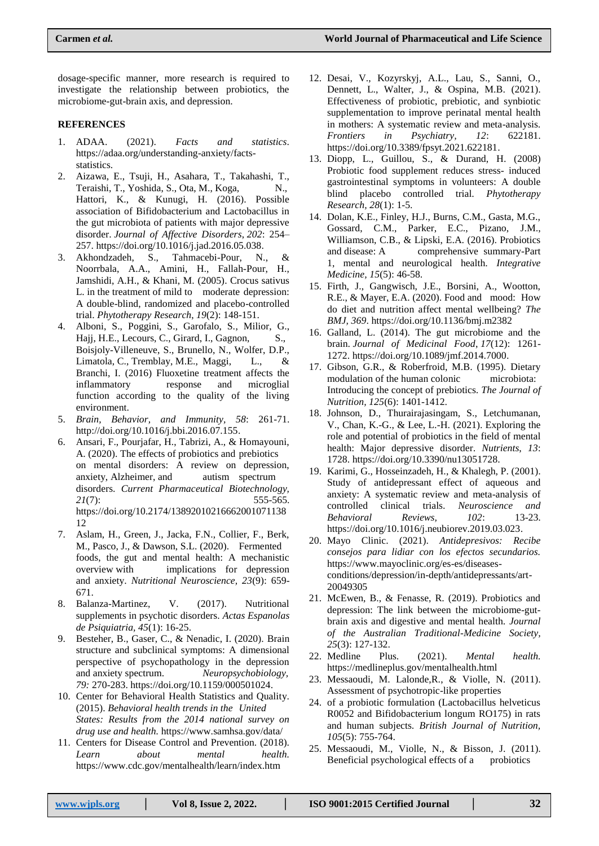dosage-specific manner, more research is required to investigate the relationship between probiotics, the microbiome-gut-brain axis, and depression.

#### **REFERENCES**

- 1. ADAA. (2021). *Facts and statistics*. [https://adaa.org/understanding-anxiety/facts](https://adaa.org/understanding-anxiety/facts-statistics)[statistics.](https://adaa.org/understanding-anxiety/facts-statistics)
- 2. Aizawa, E., Tsuji, H., Asahara, T., Takahashi, T., Teraishi, T., Yoshida, S., Ota, M., Koga, N., Hattori, K., & Kunugi, H. (2016). Possible association of Bifidobacterium and Lactobacillus in the gut microbiota of patients with major depressive disorder. *Journal of Affective Disorders*, *202*: 254– 257[. https://doi.org/10.1016/j.jad.2016.05.038.](https://doi.org/10.1016/j.jad.2016.05.038)
- 3. Akhondzadeh, S., Tahmacebi-Pour, N., & Noorrbala, A.A., Amini, H., Fallah-Pour, H., Jamshidi, A.H., & Khani, M. (2005). Crocus sativus L. in the treatment of mild to moderate depression: A double-blind, randomized and placebo-controlled trial. *Phytotherapy Research*, *19*(2): 148-151.
- 4. Alboni, S., Poggini, S., Garofalo, S., Milior, G., Hajj, H.E., Lecours, C., Girard, I., Gagnon, S., Boisjoly-Villeneuve, S., Brunello, N., Wolfer, D.P., Limatola, C., Tremblay, M.E., Maggi, L., & Branchi, I. (2016) Fluoxetine treatment affects the inflammatory response and microglial function according to the quality of the living environment.
- 5. *Brain, Behavior, and Immunity, 58*: 261-71. [http://doi.org/10.1016/j.bbi.2016.07.155.](http://doi.org/10.1016/j.bbi.2016.07.155)
- 6. Ansari, F., Pourjafar, H., Tabrizi, A., & Homayouni, A. (2020). The effects of probiotics and prebiotics on mental disorders: A review on depression, anxiety, Alzheimer, and autism spectrum disorders. *Current Pharmaceutical Biotechnology, 21*(7): 555-565. [https://doi.org/10.2174/13892010216662001071138](about:blank) [12](about:blank)
- 7. Aslam, H., Green, J., Jacka, F.N., Collier, F., Berk, M., Pasco, J., & Dawson, S.L. (2020). Fermented foods, the gut and mental health: A mechanistic overview with implications for depression and anxiety. *Nutritional Neuroscience, 23*(9): 659- 671.
- 8. Balanza-Martinez, V. (2017). Nutritional supplements in psychotic disorders. *Actas Espanolas de Psiquiatria, 45*(1): 16-25.
- 9. Besteher, B., Gaser, C., & Nenadic, I. (2020). Brain structure and subclinical symptoms: A dimensional perspective of psychopathology in the depression and anxiety spectrum. *Neuropsychobiology, 79:* 270-283. [https://doi.org/10.1159/000501024.](about:blank)
- 10. Center for Behavioral Health Statistics and Quality. (2015). *Behavioral health trends in the United States: Results from the 2014 national survey on drug use and health.* [https://www.samhsa.gov/data/](about:blank)
- 11. Centers for Disease Control and Prevention. (2018). *Learn about mental health.* [https://www.cdc.gov/mentalhealth/learn/index.htm](about:blank)
- 12. Desai, V., Kozyrskyj, A.L., Lau, S., Sanni, O., Dennett, L., Walter, J., & Ospina, M.B. (2021). Effectiveness of probiotic, prebiotic, and synbiotic supplementation to improve perinatal mental health in mothers: A systematic review and meta-analysis. *Frontiers in Psychiatry, 12*: 622181. [https://doi.org/10.3389/fpsyt.2021.622181.](about:blank)
- 13. Diopp, L., Guillou, S., & Durand, H. (2008) Probiotic food supplement reduces stress- induced gastrointestinal symptoms in volunteers: A double blind placebo controlled trial. *Phytotherapy Research, 28*(1): 1-5.
- 14. Dolan, K.E., Finley, H.J., Burns, C.M., Gasta, M.G., Gossard, C.M., Parker, E.C., Pizano, J.M., Williamson, C.B., & Lipski, E.A. (2016). Probiotics and disease: A comprehensive summary-Part 1, mental and neurological health. *Integrative Medicine, 15*(5): 46-58.
- 15. Firth, J., Gangwisch, J.E., Borsini, A., Wootton, R.E., & Mayer, E.A. (2020). Food and mood: How do diet and nutrition affect mental wellbeing? *The BMJ, 369*. [https://doi.org/10.1136/bmj.m2382](about:blank)
- 16. Galland, L. (2014). The gut microbiome and the brain. *Journal of Medicinal Food*, *17*(12): 1261- 1272[. https://doi.org/10.1089/jmf.2014.7000.](https://doi.org/10.1089/jmf.2014.7000)
- 17. Gibson, G.R., & Roberfroid, M.B. (1995). Dietary modulation of the human colonic microbiota: Introducing the concept of prebiotics. *The Journal of Nutrition, 125*(6): 1401-1412.
- 18. Johnson, D., Thurairajasingam, S., Letchumanan, V., Chan, K.-G., & Lee, L.-H. (2021). Exploring the role and potential of probiotics in the field of mental health: Major depressive disorder. *Nutrients*, *13*: 1728[. https://doi.org/10.3390/nu13051728.](https://doi.org/10.3390/nu13051728)
- 19. Karimi, G., Hosseinzadeh, H., & Khalegh, P. (2001). Study of antidepressant effect of aqueous and anxiety: A systematic review and meta-analysis of controlled clinical trials. *Neuroscience and Behavioral Reviews, 102*: 13-23. [https://doi.org/10.1016/j.neubiorev.2019.03.023.](https://doi.org/10.1016/j.neubiorev.2019.03.023)
- 20. Mayo Clinic. (2021). *Antidepresivos: Recibe consejos para lidiar con los efectos secundarios.* [https://www.mayoclinic.org/es-es/diseases](https://www.mayoclinic.org/es-es/diseases-conditions/depression/in-depth/antidepressants/art-20049305)[conditions/depression/in-depth/antidepressants/art-](https://www.mayoclinic.org/es-es/diseases-conditions/depression/in-depth/antidepressants/art-20049305)[20049305](https://www.mayoclinic.org/es-es/diseases-conditions/depression/in-depth/antidepressants/art-20049305)
- 21. McEwen, B., & Fenasse, R. (2019). Probiotics and depression: The link between the microbiome-gutbrain axis and digestive and mental health. *Journal of the Australian Traditional-Medicine Society, 25*(3): 127-132.
- 22. Medline Plus. (2021). *Mental health.* [https://medlineplus.gov/mentalhealth.html](about:blank)
- 23. Messaoudi, M. Lalonde,R., & Violle, N. (2011). Assessment of psychotropic-like properties
- 24. of a probiotic formulation (Lactobacillus helveticus R0052 and Bifidobacterium longum RO175) in rats and human subjects. *British Journal of Nutrition, 105*(5): 755-764.
- 25. Messaoudi, M., Violle, N., & Bisson, J. (2011). Beneficial psychological effects of a probiotics